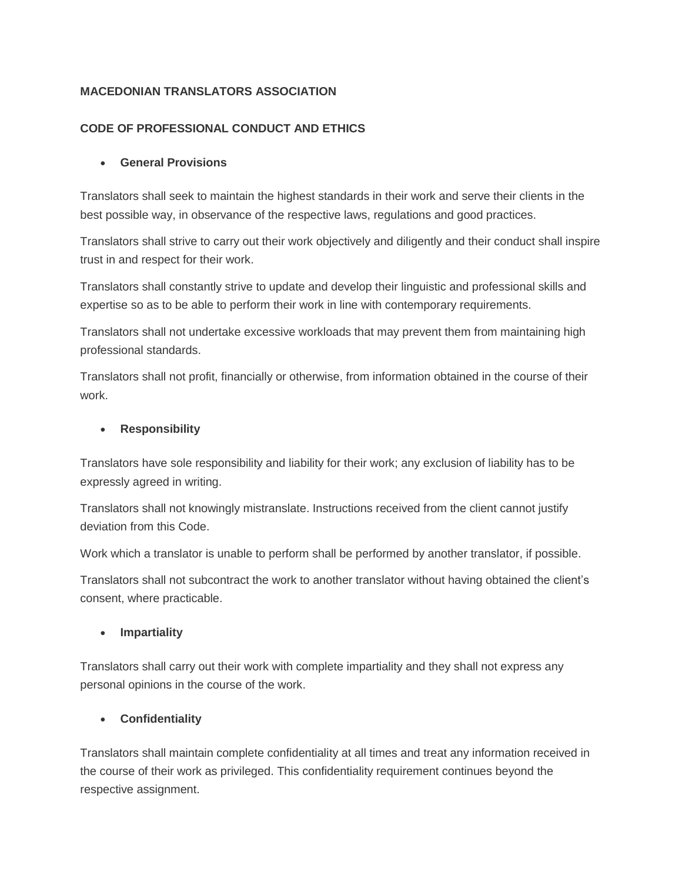# **MACEDONIAN TRANSLATORS ASSOCIATION**

### **CODE OF PROFESSIONAL CONDUCT AND ETHICS**

### **General Provisions**

Translators shall seek to maintain the highest standards in their work and serve their clients in the best possible way, in observance of the respective laws, regulations and good practices.

Translators shall strive to carry out their work objectively and diligently and their conduct shall inspire trust in and respect for their work.

Translators shall constantly strive to update and develop their linguistic and professional skills and expertise so as to be able to perform their work in line with contemporary requirements.

Translators shall not undertake excessive workloads that may prevent them from maintaining high professional standards.

Translators shall not profit, financially or otherwise, from information obtained in the course of their work.

### **Responsibility**

Translators have sole responsibility and liability for their work; any exclusion of liability has to be expressly agreed in writing.

Translators shall not knowingly mistranslate. Instructions received from the client cannot justify deviation from this Code.

Work which a translator is unable to perform shall be performed by another translator, if possible.

Translators shall not subcontract the work to another translator without having obtained the client's consent, where practicable.

### **Impartiality**

Translators shall carry out their work with complete impartiality and they shall not express any personal opinions in the course of the work.

### **Confidentiality**

Translators shall maintain complete confidentiality at all times and treat any information received in the course of their work as privileged. This confidentiality requirement continues beyond the respective assignment.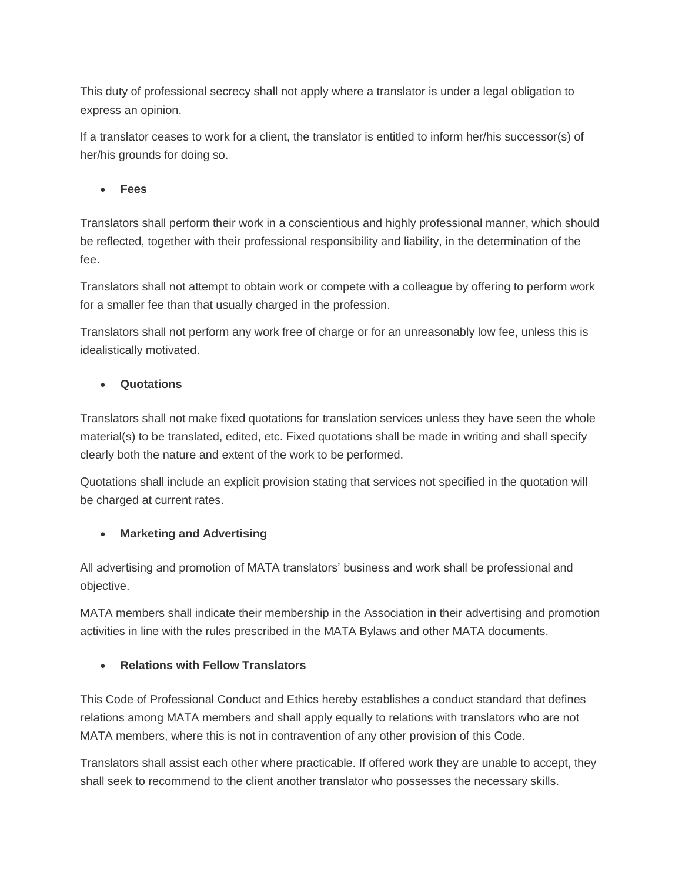This duty of professional secrecy shall not apply where a translator is under a legal obligation to express an opinion.

If a translator ceases to work for a client, the translator is entitled to inform her/his successor(s) of her/his grounds for doing so.

**Fees**

Translators shall perform their work in a conscientious and highly professional manner, which should be reflected, together with their professional responsibility and liability, in the determination of the fee.

Translators shall not attempt to obtain work or compete with a colleague by offering to perform work for a smaller fee than that usually charged in the profession.

Translators shall not perform any work free of charge or for an unreasonably low fee, unless this is idealistically motivated.

### **Quotations**

Translators shall not make fixed quotations for translation services unless they have seen the whole material(s) to be translated, edited, etc. Fixed quotations shall be made in writing and shall specify clearly both the nature and extent of the work to be performed.

Quotations shall include an explicit provision stating that services not specified in the quotation will be charged at current rates.

### **Marketing and Advertising**

All advertising and promotion of MATA translators' business and work shall be professional and objective.

MATA members shall indicate their membership in the Association in their advertising and promotion activities in line with the rules prescribed in the MATA Bylaws and other MATA documents.

#### **Relations with Fellow Translators**

This Code of Professional Conduct and Ethics hereby establishes a conduct standard that defines relations among MATA members and shall apply equally to relations with translators who are not MATA members, where this is not in contravention of any other provision of this Code.

Translators shall assist each other where practicable. If offered work they are unable to accept, they shall seek to recommend to the client another translator who possesses the necessary skills.